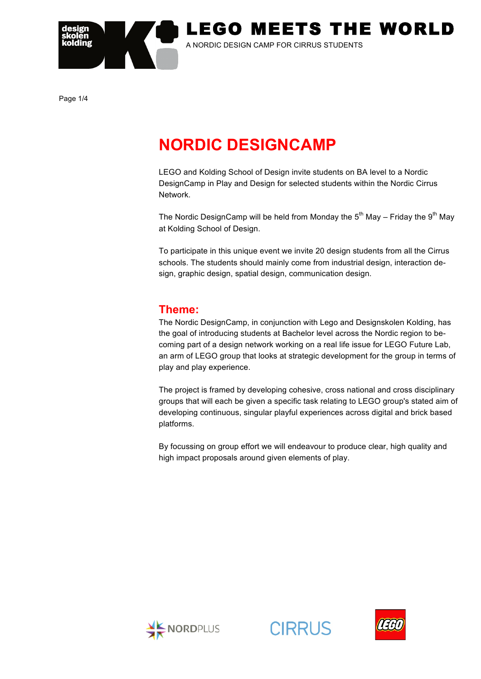

Page 1/4

# **NORDIC DESIGNCAMP**

LEGO and Kolding School of Design invite students on BA level to a Nordic DesignCamp in Play and Design for selected students within the Nordic Cirrus Network.

The Nordic DesignCamp will be held from Monday the  $5<sup>th</sup>$  May – Friday the  $9<sup>th</sup>$  May at Kolding School of Design.

To participate in this unique event we invite 20 design students from all the Cirrus schools. The students should mainly come from industrial design, interaction design, graphic design, spatial design, communication design.

### **Theme:**

The Nordic DesignCamp, in conjunction with Lego and Designskolen Kolding, has the goal of introducing students at Bachelor level across the Nordic region to becoming part of a design network working on a real life issue for LEGO Future Lab, an arm of LEGO group that looks at strategic development for the group in terms of play and play experience.

The project is framed by developing cohesive, cross national and cross disciplinary groups that will each be given a specific task relating to LEGO group's stated aim of developing continuous, singular playful experiences across digital and brick based platforms.

By focussing on group effort we will endeavour to produce clear, high quality and high impact proposals around given elements of play.



**CIRRUS** 

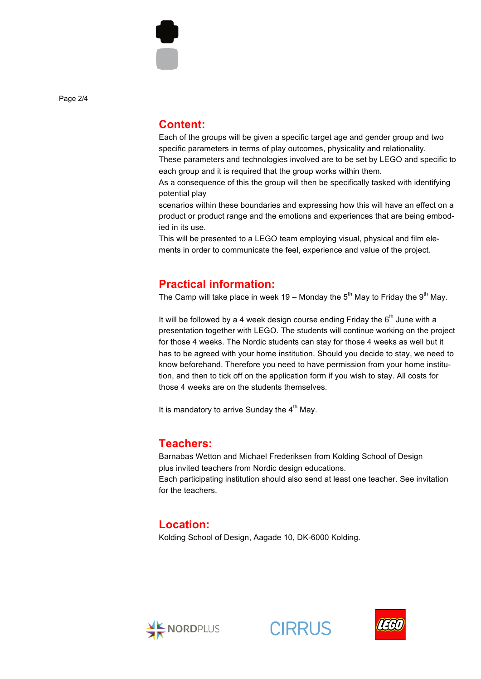Page 2/4

#### **Content:**

Each of the groups will be given a specific target age and gender group and two specific parameters in terms of play outcomes, physicality and relationality.

These parameters and technologies involved are to be set by LEGO and specific to each group and it is required that the group works within them.

As a consequence of this the group will then be specifically tasked with identifying potential play

scenarios within these boundaries and expressing how this will have an effect on a product or product range and the emotions and experiences that are being embodied in its use.

This will be presented to a LEGO team employing visual, physical and film elements in order to communicate the feel, experience and value of the project.

#### **Practical information:**

The Camp will take place in week 19 – Monday the  $5<sup>th</sup>$  May to Friday the  $9<sup>th</sup>$  May.

It will be followed by a 4 week design course ending Friday the  $6<sup>th</sup>$  June with a presentation together with LEGO. The students will continue working on the project for those 4 weeks. The Nordic students can stay for those 4 weeks as well but it has to be agreed with your home institution. Should you decide to stay, we need to know beforehand. Therefore you need to have permission from your home institution, and then to tick off on the application form if you wish to stay. All costs for those 4 weeks are on the students themselves.

It is mandatory to arrive Sunday the  $4<sup>th</sup>$  May.

#### **Teachers:**

Barnabas Wetton and Michael Frederiksen from Kolding School of Design plus invited teachers from Nordic design educations.

Each participating institution should also send at least one teacher. See invitation for the teachers.

#### **Location:**

Kolding School of Design, Aagade 10, DK-6000 Kolding.



**CIRRUS** 

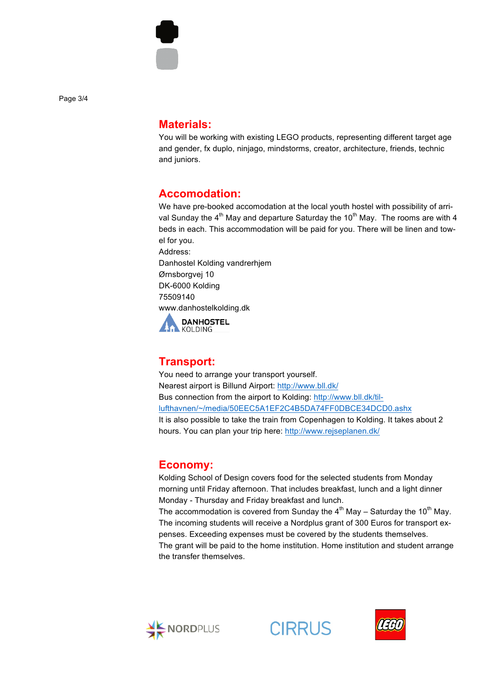

Page 3/4

#### **Materials:**

You will be working with existing LEGO products, representing different target age and gender, fx duplo, ninjago, mindstorms, creator, architecture, friends, technic and juniors.

#### **Accomodation:**

We have pre-booked accomodation at the local youth hostel with possibility of arrival Sunday the  $4<sup>th</sup>$  May and departure Saturday the 10<sup>th</sup> May. The rooms are with 4 beds in each. This accommodation will be paid for you. There will be linen and towel for you.

Address: Danhostel Kolding vandrerhjem Ørnsborgvej 10 DK-6000 Kolding 75509140 www.danhostelkolding.dk



# **Transport:**

You need to arrange your transport yourself. Nearest airport is Billund Airport: http://www.bll.dk/ Bus connection from the airport to Kolding: http://www.bll.dk/tillufthavnen/~/media/50EEC5A1EF2C4B5DA74FF0DBCE34DCD0.ashx It is also possible to take the train from Copenhagen to Kolding. It takes about 2 hours. You can plan your trip here: http://www.rejseplanen.dk/

# **Economy:**

Kolding School of Design covers food for the selected students from Monday morning until Friday afternoon. That includes breakfast, lunch and a light dinner Monday - Thursday and Friday breakfast and lunch.

The accommodation is covered from Sunday the  $4<sup>th</sup>$  May – Saturday the 10<sup>th</sup> May. The incoming students will receive a Nordplus grant of 300 Euros for transport expenses. Exceeding expenses must be covered by the students themselves. The grant will be paid to the home institution. Home institution and student arrange the transfer themselves.